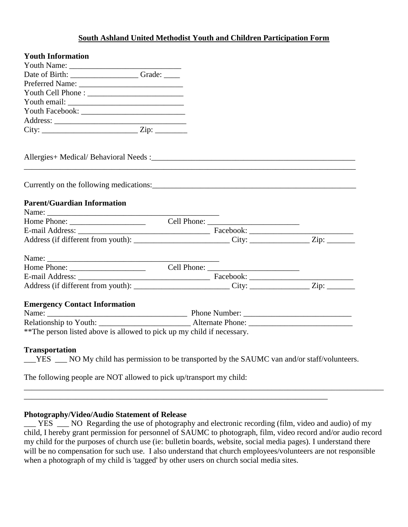### **South Ashland United Methodist Youth and Children Participation Form**

| <b>Youth Information</b>                                                                                                   |  |  |
|----------------------------------------------------------------------------------------------------------------------------|--|--|
|                                                                                                                            |  |  |
| Date of Birth: Camera Crade: Camera Crade:                                                                                 |  |  |
|                                                                                                                            |  |  |
|                                                                                                                            |  |  |
|                                                                                                                            |  |  |
|                                                                                                                            |  |  |
|                                                                                                                            |  |  |
| $City:$ $Zip:$ $Zip:$                                                                                                      |  |  |
|                                                                                                                            |  |  |
|                                                                                                                            |  |  |
| <b>Parent/Guardian Information</b>                                                                                         |  |  |
| Name:                                                                                                                      |  |  |
|                                                                                                                            |  |  |
|                                                                                                                            |  |  |
|                                                                                                                            |  |  |
|                                                                                                                            |  |  |
|                                                                                                                            |  |  |
|                                                                                                                            |  |  |
| Address (if different from youth): City: City: Zip: Zip:                                                                   |  |  |
| <b>Emergency Contact Information</b>                                                                                       |  |  |
|                                                                                                                            |  |  |
|                                                                                                                            |  |  |
| **The person listed above is allowed to pick up my child if necessary.                                                     |  |  |
| <b>Transportation</b><br>___YES ___ NO My child has permission to be transported by the SAUMC van and/or staff/volunteers. |  |  |

The following people are NOT allowed to pick up/transport my child:

#### **Photography/Video/Audio Statement of Release**

\_\_\_ YES \_\_\_ NO Regarding the use of photography and electronic recording (film, video and audio) of my child, I hereby grant permission for personnel of SAUMC to photograph, film, video record and/or audio record my child for the purposes of church use (ie: bulletin boards, website, social media pages). I understand there will be no compensation for such use. I also understand that church employees/volunteers are not responsible when a photograph of my child is 'tagged' by other users on church social media sites.

\_\_\_\_\_\_\_\_\_\_\_\_\_\_\_\_\_\_\_\_\_\_\_\_\_\_\_\_\_\_\_\_\_\_\_\_\_\_\_\_\_\_\_\_\_\_\_\_\_\_\_\_\_\_\_\_\_\_\_\_\_\_\_\_\_\_\_\_\_\_\_\_\_\_\_\_\_\_\_\_\_\_\_\_\_\_\_\_\_\_

\_\_\_\_\_\_\_\_\_\_\_\_\_\_\_\_\_\_\_\_\_\_\_\_\_\_\_\_\_\_\_\_\_\_\_\_\_\_\_\_\_\_\_\_\_\_\_\_\_\_\_\_\_\_\_\_\_\_\_\_\_\_\_\_\_\_\_\_\_\_\_\_\_\_\_\_